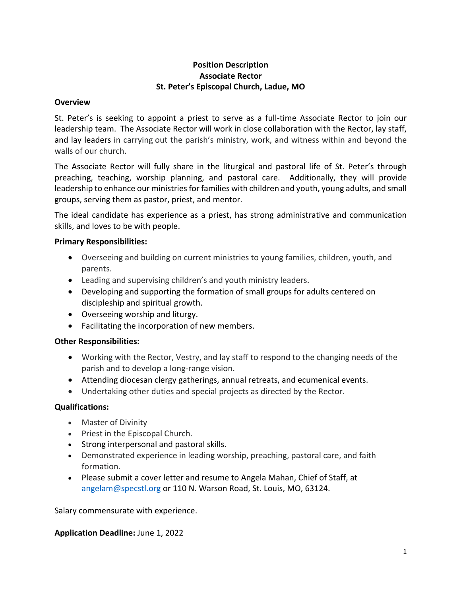# **Position Description Associate Rector St. Peter's Episcopal Church, Ladue, MO**

#### **Overview**

St. Peter's is seeking to appoint a priest to serve as a full-time Associate Rector to join our leadership team. The Associate Rector will work in close collaboration with the Rector, lay staff, and lay leaders in carrying out the parish's ministry, work, and witness within and beyond the walls of our church.

The Associate Rector will fully share in the liturgical and pastoral life of St. Peter's through preaching, teaching, worship planning, and pastoral care. Additionally, they will provide leadership to enhance our ministries for families with children and youth, young adults, and small groups, serving them as pastor, priest, and mentor.

The ideal candidate has experience as a priest, has strong administrative and communication skills, and loves to be with people.

## **Primary Responsibilities:**

- Overseeing and building on current ministries to young families, children, youth, and parents.
- Leading and supervising children's and youth ministry leaders.
- Developing and supporting the formation of small groups for adults centered on discipleship and spiritual growth.
- Overseeing worship and liturgy.
- Facilitating the incorporation of new members.

# **Other Responsibilities:**

- Working with the Rector, Vestry, and lay staff to respond to the changing needs of the parish and to develop a long-range vision.
- Attending diocesan clergy gatherings, annual retreats, and ecumenical events.
- Undertaking other duties and special projects as directed by the Rector.

# **Qualifications:**

- Master of Divinity
- Priest in the Episcopal Church.
- Strong interpersonal and pastoral skills.
- Demonstrated experience in leading worship, preaching, pastoral care, and faith formation.
- Please submit a cover letter and resume to Angela Mahan, Chief of Staff, at angelam@specstl.org or 110 N. Warson Road, St. Louis, MO, 63124.

Salary commensurate with experience.

#### **Application Deadline:** June 1, 2022